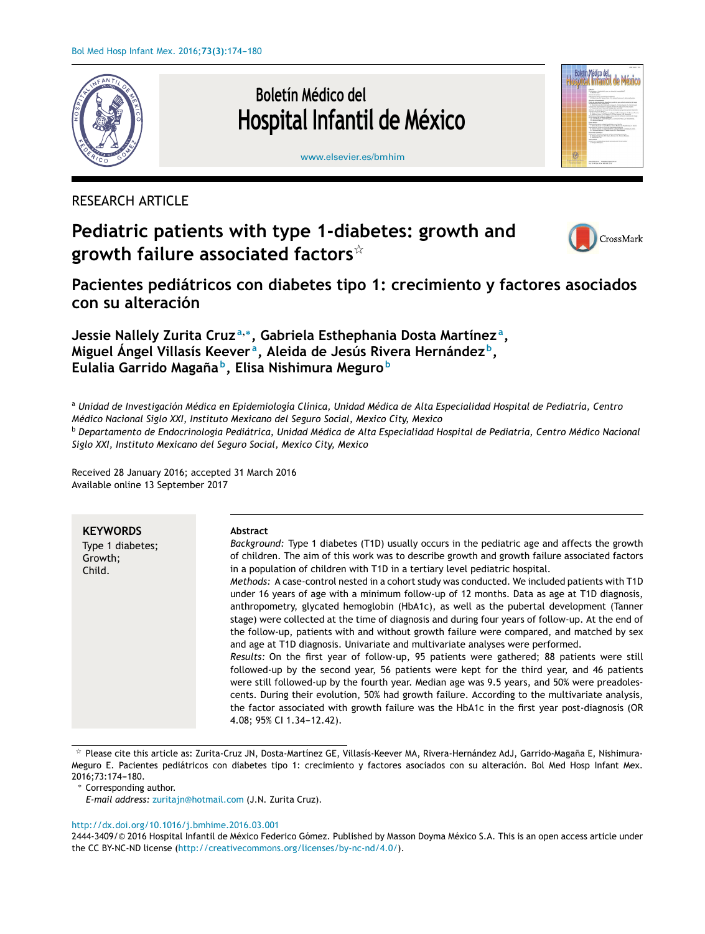

Boletín Médico del Hospital Infantil de México



[www.elsevier.es/bmhim](http://www.elsevier.es/bmhim)

# RESEARCH ARTICLE

# **Pediatric patients with type 1-diabetes: growth and growth failure associated factors**-



**Pacientes pediátricos con diabetes tipo 1: crecimiento y factores asociados con su alteración**

**Jessie Nallely Zurita Cruz <sup>a</sup>**,<sup>∗</sup> **, Gabriela Esthephania Dosta Martínez <sup>a</sup> , Miguel Ángel Villasís Keever <sup>a</sup> , Aleida de Jesús Rivera Hernández <sup>b</sup> , Eulalia Garrido Magana˜ b , Elisa Nishimura Meguro <sup>b</sup>**

a Unidad de Investigación Médica en Epidemiología Clínica, Unidad Médica de Alta Especialidad Hospital de Pediatría, Centro *Médico Nacional Siglo XXI, Instituto Mexicano del Seguro Social, Mexico City, Mexico*

<sup>b</sup> Departamento de Endocrinología Pediátrica, Unidad Médica de Alta Especialidad Hospital de Pediatría, Centro Médico Nacional *Siglo XXI, Instituto Mexicano del Seguro Social, Mexico City, Mexico*

Received 28 January 2016; accepted 31 March 2016 Available online 13 September 2017

| <b>KEYWORDS</b>                       | Abstract<br>Background: Type 1 diabetes (T1D) usually occurs in the pediatric age and affects the growth                                                                                                                                                                                                                                                                                                                                                                                                                                                                                                                                                                                                                                                                                                                                                                                                                                                                                                                                                                                                                                                                                                                                                 |
|---------------------------------------|----------------------------------------------------------------------------------------------------------------------------------------------------------------------------------------------------------------------------------------------------------------------------------------------------------------------------------------------------------------------------------------------------------------------------------------------------------------------------------------------------------------------------------------------------------------------------------------------------------------------------------------------------------------------------------------------------------------------------------------------------------------------------------------------------------------------------------------------------------------------------------------------------------------------------------------------------------------------------------------------------------------------------------------------------------------------------------------------------------------------------------------------------------------------------------------------------------------------------------------------------------|
| Type 1 diabetes;<br>Growth:<br>Child. | of children. The aim of this work was to describe growth and growth failure associated factors<br>in a population of children with T1D in a tertiary level pediatric hospital.<br>Methods: A case-control nested in a cohort study was conducted. We included patients with T1D<br>under 16 years of age with a minimum follow-up of 12 months. Data as age at T1D diagnosis,<br>anthropometry, glycated hemoglobin (HbA1c), as well as the pubertal development (Tanner<br>stage) were collected at the time of diagnosis and during four years of follow-up. At the end of<br>the follow-up, patients with and without growth failure were compared, and matched by sex<br>and age at T1D diagnosis. Univariate and multivariate analyses were performed.<br>Results: On the first year of follow-up, 95 patients were gathered; 88 patients were still<br>followed-up by the second year, 56 patients were kept for the third year, and 46 patients<br>were still followed-up by the fourth year. Median age was 9.5 years, and 50% were preadoles-<br>cents. During their evolution, 50% had growth failure. According to the multivariate analysis,<br>the factor associated with growth failure was the HbA1c in the first year post-diagnosis (OR |
|                                       | 4.08: 95% CI 1.34-12.42).                                                                                                                                                                                                                                                                                                                                                                                                                                                                                                                                                                                                                                                                                                                                                                                                                                                                                                                                                                                                                                                                                                                                                                                                                                |

 $^\star$  Please cite this article as: Zurita-Cruz JN, Dosta-Martínez GE, Villasís-Keever MA, Rivera-Hernández AdJ, Garrido-Magaña E, Nishimura-Meguro E. Pacientes pediátricos con diabetes tipo 1: crecimiento y factores asociados con su alteración. Bol Med Hosp Infant Mex. 2016;73:174-180.

#### [http://dx.doi.org/10.1016/j.bmhime.2016.03.001](dx.doi.org/10.1016/j.bmhime.2016.03.001)

2444-3409/© 2016 Hospital Infantil de México Federico Gómez. Published by Masson Doyma México S.A. This is an open access article under the CC BY-NC-ND license [\(http://creativecommons.org/licenses/by-nc-nd/4.0/\)](http://creativecommons.org/licenses/by-nc-nd/4.0/).

Corresponding author.

*E-mail address:* [zuritajn@hotmail.com](mailto:zuritajn@hotmail.com) (J.N. Zurita Cruz).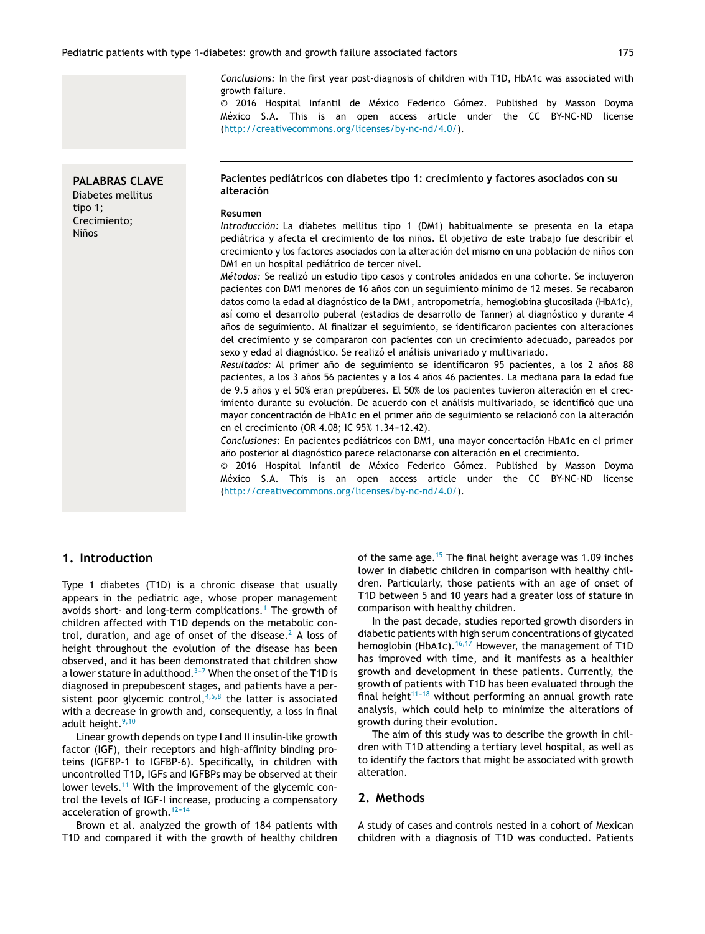*Conclusions:* In the first year post-diagnosis of children with T1D, HbA1c was associated with growth failure.

© 2016 Hospital Infantil de México Federico Gómez. Published by Masson Doyma México S.A. This is an open access article under the CC BY-NC-ND license [\(http://creativecommons.org/licenses/by-nc-nd/4.0/\)](http://creativecommons.org/licenses/by-nc-nd/4.0/).

#### **PALABRAS CLAVE**

Diabetes mellitus tipo 1; Crecimiento; Niños

#### **Pacientes pediátricos con diabetes tipo 1: crecimiento y factores asociados con su alteración**

#### **Resumen**

*Introducción:* La diabetes mellitus tipo 1 (DM1) habitualmente se presenta en la etapa pediátrica y afecta el crecimiento de los niños. El objetivo de este trabajo fue describir el crecimiento y los factores asociados con la alteración del mismo en una población de niños con DM1 en un hospital pediátrico de tercer nivel.

*Métodos:* Se realizó un estudio tipo casos y controles anidados en una cohorte. Se incluyeron pacientes con DM1 menores de 16 años con un seguimiento mínimo de 12 meses. Se recabaron datos como la edad al diagnóstico de la DM1, antropometría, hemoglobina glucosilada (HbA1c), así como el desarrollo puberal (estadios de desarrollo de Tanner) al diagnóstico y durante 4 años de seguimiento. Al finalizar el seguimiento, se identificaron pacientes con alteraciones del crecimiento y se compararon con pacientes con un crecimiento adecuado, pareados por sexo y edad al diagnóstico. Se realizó el análisis univariado y multivariado.

Resultados: Al primer año de seguimiento se identificaron 95 pacientes, a los 2 años 88 pacientes, a los 3 años 56 pacientes y a los 4 años 46 pacientes. La mediana para la edad fue de 9.5 años y el 50% eran prepúberes. El 50% de los pacientes tuvieron alteración en el crecimiento durante su evolución. De acuerdo con el análisis multivariado, se identificó que una mayor concentración de HbA1c en el primer año de seguimiento se relacionó con la alteración en el crecimiento (OR 4.08; IC 95% 1.34-12.42).

*Conclusiones:* En pacientes pediátricos con DM1, una mayor concertación HbA1c en el primer año posterior al diagnóstico parece relacionarse con alteración en el crecimiento.

© 2016 Hospital Infantil de México Federico Gómez. Published by Masson Doyma México S.A. This is an open access article under the CC BY-NC-ND license [\(http://creativecommons.org/licenses/by-nc-nd/4.0/\)](http://creativecommons.org/licenses/by-nc-nd/4.0/).

#### **1. Introduction**

Type 1 diabetes (T1D) is a chronic disease that usually appears in the pediatric age, whose proper management avoids short- and long-term complications.<sup>[1](#page-5-0)</sup> The growth of children affected with T1D depends on the metabolic con-trol, duration, and age of onset of the disease.<sup>[2](#page-5-0)</sup> A loss of height throughout the evolution of the disease has been observed, and it has been demonstrated that children show a lower stature in adulthood.<sup>3-7</sup> When the onset of the T1D is diagnosed in prepubescent stages, and patients have a persistent poor glycemic control,  $4,5,8$  the latter is associated with a decrease in growth and, consequently, a loss in final adult height. $9,10$ 

Linear growth depends on type I and II insulin-like growth factor (IGF), their receptors and high-affinity binding proteins (IGFBP-1 to IGFBP-6). Specifically, in children with uncontrolled T1D, IGFs and IGFBPs may be observed at their lower levels.<sup>[11](#page-6-0)</sup> With the improvement of the glycemic control the levels of IGF-I increase, producing a compensatory acceleration of growth. $12-14$ 

Brown et al. analyzed the growth of 184 patients with T1D and compared it with the growth of healthy children of the same age.<sup>[15](#page-6-0)</sup> The final height average was 1.09 inches lower in diabetic children in comparison with healthy children. Particularly, those patients with an age of onset of T1D between 5 and 10 years had a greater loss of stature in comparison with healthy children.

In the past decade, studies reported growth disorders in diabetic patients with high serum concentrations of glycated hemoglobin (HbA1c).<sup>[16,17](#page-6-0)</sup> However, the management of T1D has improved with time, and it manifests as a healthier growth and development in these patients. Currently, the growth of patients with T1D has been evaluated through the final height $11-18$  without performing an annual growth rate analysis, which could help to minimize the alterations of growth during their evolution.

The aim of this study was to describe the growth in children with T1D attending a tertiary level hospital, as well as to identify the factors that might be associated with growth alteration.

#### **2. Methods**

A study of cases and controls nested in a cohort of Mexican children with a diagnosis of T1D was conducted. Patients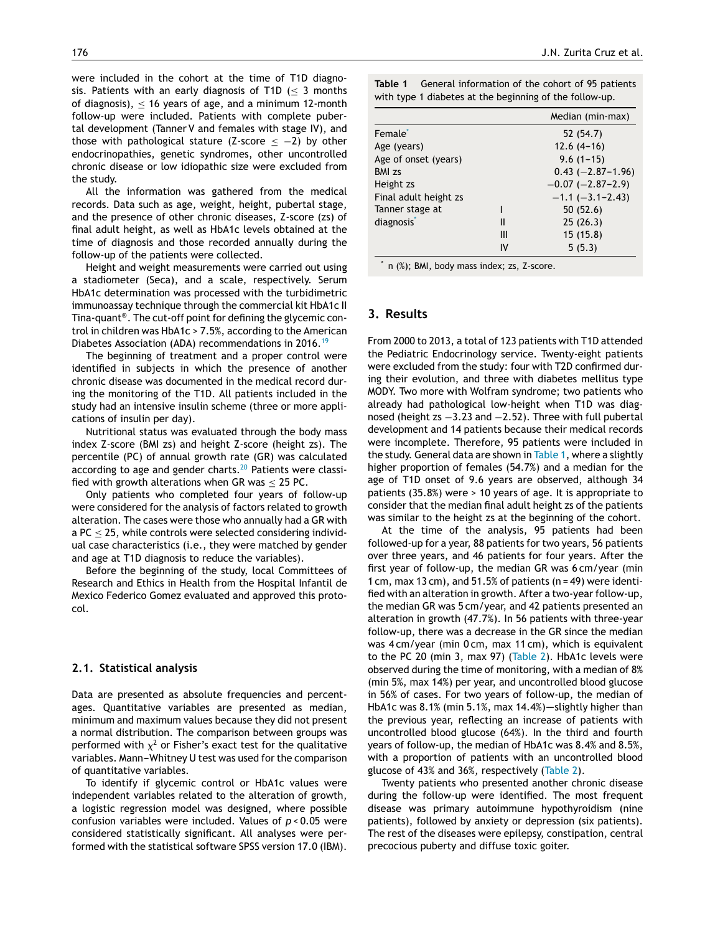were included in the cohort at the time of T1D diagnosis. Patients with an early diagnosis of T1D  $\leq$  3 months of diagnosis),  $<$  16 years of age, and a minimum 12-month follow-up were included. Patients with complete pubertal development (Tanner V and females with stage IV), and those with pathological stature (Z-score  $\le$  -2) by other endocrinopathies, genetic syndromes, other uncontrolled chronic disease or low idiopathic size were excluded from the study.

All the information was gathered from the medical records. Data such as age, weight, height, pubertal stage, and the presence of other chronic diseases, Z-score (zs) of final adult height, as well as HbA1c levels obtained at the time of diagnosis and those recorded annually during the follow-up of the patients were collected.

Height and weight measurements were carried out using a stadiometer (Seca), and a scale, respectively. Serum HbA1c determination was processed with the turbidimetric immunoassay technique through the commercial kit HbA1c II Tina-quant® . The cut-off point for defining the glycemic control in children was HbA1c > 7.5%, according to the American Diabetes Association (ADA) recommendations in 2016.<sup>[19](#page-6-0)</sup>

The beginning of treatment and a proper control were identified in subjects in which the presence of another chronic disease was documented in the medical record during the monitoring of the T1D. All patients included in the study had an intensive insulin scheme (three or more applications of insulin per day).

Nutritional status was evaluated through the body mass index Z-score (BMI zs) and height Z-score (height zs). The percentile (PC) of annual growth rate (GR) was calculated according to age and gender charts.<sup>[20](#page-6-0)</sup> Patients were classified with growth alterations when GR was  $<$  25 PC.

Only patients who completed four years of follow-up were considered for the analysis of factors related to growth alteration. The cases were those who annually had a GR with a  $PC < 25$ , while controls were selected considering individual case characteristics (i.e., they were matched by gender and age at T1D diagnosis to reduce the variables).

Before the beginning of the study, local Committees of Research and Ethics in Health from the Hospital Infantil de Mexico Federico Gomez evaluated and approved this protocol.

#### **2.1. Statistical analysis**

Data are presented as absolute frequencies and percentages. Quantitative variables are presented as median, minimum and maximum values because they did not present a normal distribution. The comparison between groups was performed with  $\chi^2$  or Fisher's exact test for the qualitative variables. Mann-Whitney U test was used for the comparison of quantitative variables.

To identify if glycemic control or HbA1c values were independent variables related to the alteration of growth, a logistic regression model was designed, where possible confusion variables were included. Values of *p* < 0.05 were considered statistically significant. All analyses were performed with the statistical software SPSS version 17.0 (IBM).

**Table 1** General information of the cohort of 95 patients with type 1 diabetes at the beginning of the follow-up.

|                        |    | Median (min-max)        |
|------------------------|----|-------------------------|
| Female <sup>*</sup>    |    | 52 (54.7)               |
| Age (years)            |    | $12.6(4-16)$            |
| Age of onset (years)   |    | $9.6(1 - 15)$           |
| <b>BMI</b> zs          |    | $0.43 (-2.87 - 1.96)$   |
| Height zs              |    | $-0.07$ ( $-2.87-2.9$ ) |
| Final adult height zs  |    | $-1.1$ $(-3.1 - 2.43)$  |
| Tanner stage at        |    | 50(52.6)                |
| diagnosis <sup>*</sup> | Ш  | 25(26.3)                |
|                        | Ш  | 15(15.8)                |
|                        | ı٧ | 5(5.3)                  |

\* n (%); BMI, body mass index; zs, Z-score.

# **3. Results**

From 2000 to 2013, a total of 123 patients with T1D attended the Pediatric Endocrinology service. Twenty-eight patients were excluded from the study: four with T2D confirmed during their evolution, and three with diabetes mellitus type MODY. Two more with Wolfram syndrome; two patients who already had pathological low-height when T1D was diagnosed (height zs -3.23 and -2.52). Three with full pubertal development and 14 patients because their medical records were incomplete. Therefore, 95 patients were included in the study. General data are shown in Table 1, where a slightly higher proportion of females (54.7%) and a median for the age of T1D onset of 9.6 years are observed, although 34 patients (35.8%) were > 10 years of age. It is appropriate to consider that the median final adult height zs of the patients was similar to the height zs at the beginning of the cohort.

At the time of the analysis, 95 patients had been followed-up for a year, 88 patients for two years, 56 patients over three years, and 46 patients for four years. After the first year of follow-up, the median GR was 6 cm/year (min 1 cm, max 13 cm), and  $51.5\%$  of patients (n = 49) were identified with an alteration in growth. After a two-year follow-up, the median GR was 5 cm/year, and 42 patients presented an alteration in growth (47.7%). In 56 patients with three-year follow-up, there was a decrease in the GR since the median was 4 cm/year (min 0 cm, max 11 cm), which is equivalent to the PC 20 (min 3, max 97) [\(Table](#page-3-0) 2). HbA1c levels were observed during the time of monitoring, with a median of 8% (min 5%, max 14%) per year, and uncontrolled blood glucose in 56% of cases. For two years of follow-up, the median of HbA1c was  $8.1\%$  (min 5.1%, max  $14.4\%$ )—slightly higher than the previous year, reflecting an increase of patients with uncontrolled blood glucose (64%). In the third and fourth years of follow-up, the median of HbA1c was 8.4% and 8.5%, with a proportion of patients with an uncontrolled blood glucose of 43% and 36%, respectively ([Table](#page-3-0) 2).

Twenty patients who presented another chronic disease during the follow-up were identified. The most frequent disease was primary autoimmune hypothyroidism (nine patients), followed by anxiety or depression (six patients). The rest of the diseases were epilepsy, constipation, central precocious puberty and diffuse toxic goiter.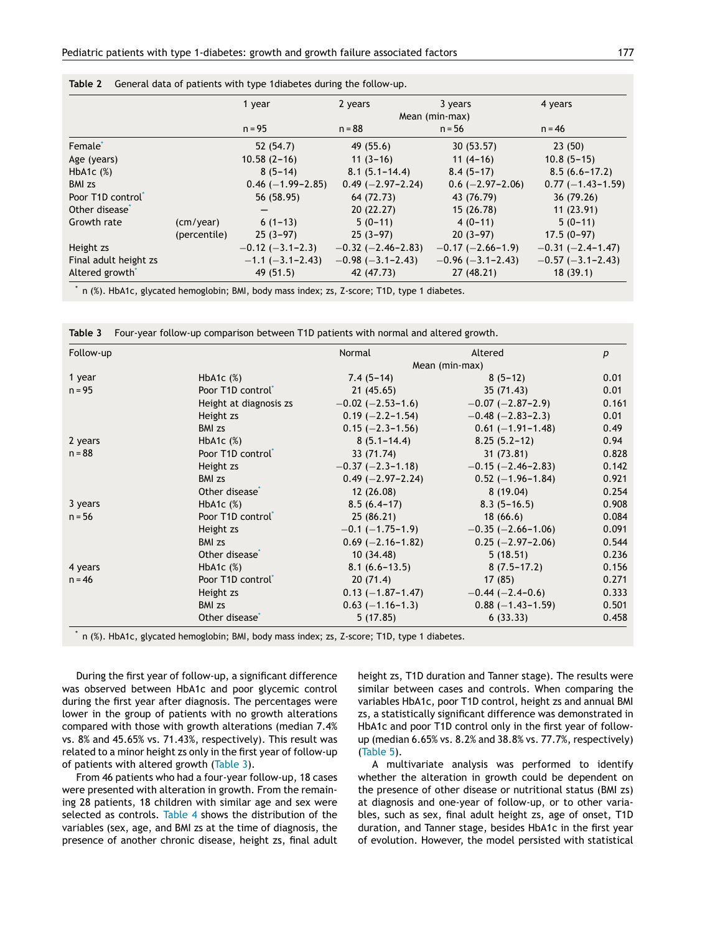|                             |              | 1 year                   | 2 years                    | 3 years              | 4 years                   |
|-----------------------------|--------------|--------------------------|----------------------------|----------------------|---------------------------|
|                             |              |                          |                            | Mean (min-max)       |                           |
|                             |              | $n = 95$                 | $n = 88$                   | $n = 56$             | $n = 46$                  |
| Female <sup>*</sup>         |              | 52(54.7)                 | 49(55.6)                   | 30 (53.57)           | 23(50)                    |
| Age (years)                 |              | $10.58(2 - 16)$          | $11(3-16)$                 | $11(4-16)$           | $10.8(5-15)$              |
| HbA <sub>1</sub> c $(%$     |              | $8(5-14)$                | $8.1(5.1 - 14.4)$          | $8.4(5-17)$          | $8.5(6.6 - 17.2)$         |
| <b>BMI</b> zs               |              | $0.46$ (-1.99-2.85)      | $0.49$ (-2.97-2.24)        | $0.6$ (-2.97-2.06)   | $0.77 (-1.43 - 1.59)$     |
| Poor T1D control            |              | 56 (58.95)               | 64 (72.73)                 | 43 (76.79)           | 36 (79.26)                |
| Other disease               |              |                          | 20(22.27)                  | 15 (26.78)           | 11(23.91)                 |
| Growth rate                 | (cm/year)    | $6(1-13)$                | $5(0-11)$                  | $4(0-11)$            | $5(0-11)$                 |
|                             | (percentile) | $25(3-97)$               | $25(3-97)$                 | $20(3-97)$           | $17.5(0-97)$              |
| Height zs                   |              | $-0.12$ ( $-3.1-2.3$ )   | $-0.32$ ( $-2.46 - 2.83$ ) | $-0.17(-2.66-1.9)$   | $-0.31 (-2.4 - 1.47)$     |
| Final adult height zs       |              | $-1.1$ ( $-3.1 - 2.43$ ) | $-0.98$ ( $-3.1 - 2.43$ )  | $-0.96(-3.1 - 2.43)$ | $-0.57$ ( $-3.1 - 2.43$ ) |
| Altered growth <sup>*</sup> |              | 49 (51.5)                | 42 (47.73)                 | 27(48.21)            | 18(39.1)                  |

<span id="page-3-0"></span>**Table 2** General data of patients with type 1diabetes during the follow-up.

n (%). HbA1c, glycated hemoglobin; BMI, body mass index; zs, Z-score; T1D, type 1 diabetes.

**Table 3** Four-year follow-up comparison between T1D patients with normal and altered growth.

| Follow-up |                               | Normal                   | Altered                    | p     |
|-----------|-------------------------------|--------------------------|----------------------------|-------|
|           |                               |                          | Mean (min-max)             |       |
| 1 year    | HbA <sub>1</sub> c $(%$       | $7.4(5-14)$              | $8(5-12)$                  | 0.01  |
| $n = 95$  | Poor T1D control              | 21(45.65)                | 35(71.43)                  | 0.01  |
|           | Height at diagnosis zs        | $-0.02$ ( $-2.53-1.6$ )  | $-0.07$ ( $-2.87-2.9$ )    | 0.161 |
|           | Height zs                     | $0.19 (-2.2 - 1.54)$     | $-0.48$ ( $-2.83 - 2.3$ )  | 0.01  |
|           | <b>BMI</b> zs                 | $0.15 (-2.3 - 1.56)$     | $0.61 (-1.91 - 1.48)$      | 0.49  |
| 2 years   | HbA <sub>1</sub> c $(%$       | $8(5.1 - 14.4)$          | $8.25(5.2-12)$             | 0.94  |
| $n = 88$  | Poor T1D control              | 33 (71.74)               | 31(73.81)                  | 0.828 |
|           | Height zs                     | $-0.37$ ( $-2.3-1.18$ )  | $-0.15$ ( $-2.46 - 2.83$ ) | 0.142 |
|           | <b>BMI</b> zs                 | $0.49$ (-2.97-2.24)      | $0.52$ (-1.96-1.84)        | 0.921 |
|           | Other disease <sup>®</sup>    | 12(26.08)                | 8(19.04)                   | 0.254 |
| 3 years   | HbA <sub>1</sub> c $(%$       | $8.5(6.4-17)$            | $8.3(5 - 16.5)$            | 0.908 |
| $n = 56$  | Poor T1D control <sup>*</sup> | 25(86.21)                | 18(66.6)                   | 0.084 |
|           | Height zs                     | $-0.1$ ( $-1.75 - 1.9$ ) | $-0.35$ ( $-2.66 - 1.06$ ) | 0.091 |
|           | <b>BMI</b> zs                 | $0.69$ (-2.16-1.82)      | $0.25 (-2.97 - 2.06)$      | 0.544 |
|           | Other disease <sup>®</sup>    | 10(34.48)                | 5(18.51)                   | 0.236 |
| 4 years   | HbA <sub>1</sub> c $(%$       | $8.1(6.6 - 13.5)$        | $8(7.5-17.2)$              | 0.156 |
| $n = 46$  | Poor T1D control              | 20(71.4)                 | 17(85)                     | 0.271 |
|           | Height zs                     | $0.13 (-1.87 - 1.47)$    | $-0.44$ ( $-2.4-0.6$ )     | 0.333 |
|           | <b>BMI</b> zs                 | $0.63 (-1.16 - 1.3)$     | $0.88 (-1.43 - 1.59)$      | 0.501 |
|           | Other disease <sup>®</sup>    | 5(17.85)                 | 6(33.33)                   | 0.458 |

n (%). HbA1c, glycated hemoglobin; BMI, body mass index; zs, Z-score; T1D, type 1 diabetes.

During the first year of follow-up, a significant difference was observed between HbA1c and poor glycemic control during the first year after diagnosis. The percentages were lower in the group of patients with no growth alterations compared with those with growth alterations (median 7.4% vs. 8% and 45.65% vs. 71.43%, respectively). This result was related to a minor height zs only in the first year of follow-up of patients with altered growth (Table 3).

From 46 patients who had a four-year follow-up, 18 cases were presented with alteration in growth. From the remaining 28 patients, 18 children with similar age and sex were selected as controls. [Table](#page-4-0) 4 shows the distribution of the variables (sex, age, and BMI zs at the time of diagnosis, the presence of another chronic disease, height zs, final adult height zs, T1D duration and Tanner stage). The results were similar between cases and controls. When comparing the variables HbA1c, poor T1D control, height zs and annual BMI zs, a statistically significant difference was demonstrated in HbA1c and poor T1D control only in the first year of followup (median 6.65% vs. 8.2% and 38.8% vs. 77.7%, respectively) ([Table](#page-4-0) 5).

A multivariate analysis was performed to identify whether the alteration in growth could be dependent on the presence of other disease or nutritional status (BMI zs) at diagnosis and one-year of follow-up, or to other variables, such as sex, final adult height zs, age of onset, T1D duration, and Tanner stage, besides HbA1c in the first year of evolution. However, the model persisted with statistical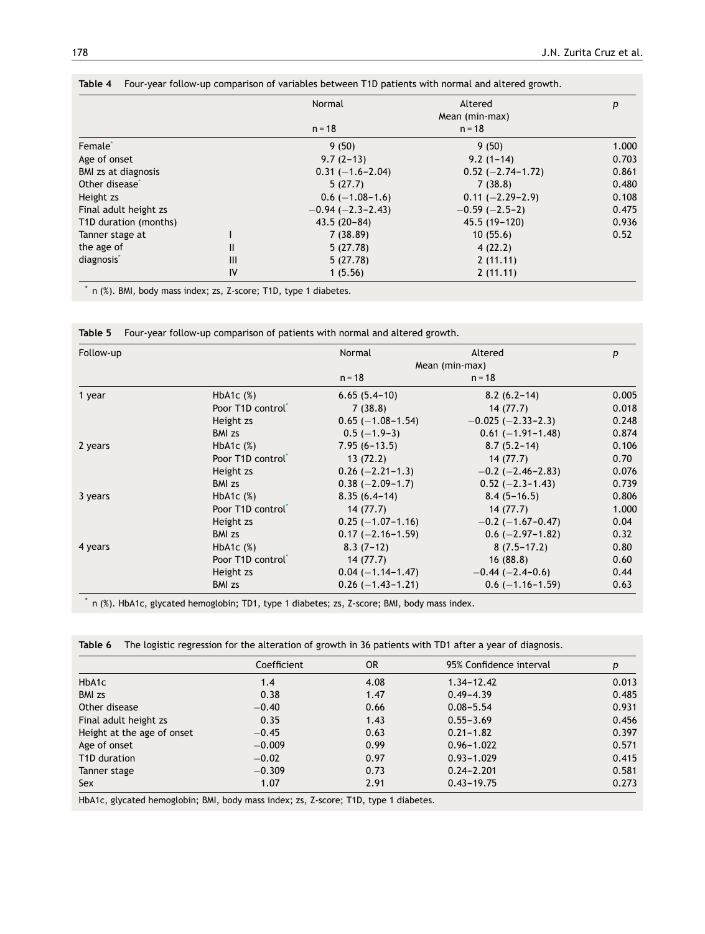|                            |     | Normal               | Altered               | р     |
|----------------------------|-----|----------------------|-----------------------|-------|
|                            |     |                      | Mean (min-max)        |       |
|                            |     | $n = 18$             | $n = 18$              |       |
| Female <sup>*</sup>        |     | 9(50)                | 9(50)                 | 1.000 |
| Age of onset               |     | $9.7(2-13)$          | $9.2(1 - 14)$         | 0.703 |
| <b>BMI</b> zs at diagnosis |     | $0.31 (-1.6 - 2.04)$ | $0.52 (-2.74 - 1.72)$ | 0.861 |
| Other disease <sup>®</sup> |     | 5(27.7)              | 7(38.8)               | 0.480 |
| Height zs                  |     | $0.6$ (-1.08-1.6)    | $0.11 (-2.29 - 2.9)$  | 0.108 |
| Final adult height zs      |     | $-0.94(-2.3-2.43)$   | $-0.59(-2.5-2)$       | 0.475 |
| T1D duration (months)      |     | $43.5(20-84)$        | $45.5(19-120)$        | 0.936 |
| Tanner stage at            |     | 7(38.89)             | 10(55.6)              | 0.52  |
| the age of                 | Ш   | 5(27.78)             | 4(22.2)               |       |
| diagnosis <sup>*</sup>     | III | 5(27.78)             | 2(11.11)              |       |
|                            | IV  | 1(5.56)              | 2(11.11)              |       |

<span id="page-4-0"></span>

| Table 4 Four-year follow-up comparison of variables between T1D patients with normal and altered growth. |  |  |  |  |  |  |  |
|----------------------------------------------------------------------------------------------------------|--|--|--|--|--|--|--|
|----------------------------------------------------------------------------------------------------------|--|--|--|--|--|--|--|

\* n (%). BMI, body mass index; zs, Z-score; T1D, type 1 diabetes.

**Table 5** Four-year follow-up comparison of patients with normal and altered growth.

| Follow-up |                           | Normal                | Altered                   | p     |
|-----------|---------------------------|-----------------------|---------------------------|-------|
|           |                           |                       | Mean (min-max)            |       |
|           |                           | $n = 18$              | $n = 18$                  |       |
| 1 year    | HbA <sub>1</sub> c $(%$   | $6.65(5.4-10)$        | $8.2(6.2-14)$             | 0.005 |
|           | Poor T1D control          | 7(38.8)               | 14(77.7)                  | 0.018 |
|           | Height zs                 | $0.65$ (-1.08-1.54)   | $-0.025$ ( $-2.33-2.3$ )  | 0.248 |
|           | <b>BMI</b> zs             | $0.5(-1.9-3)$         | $0.61 (-1.91 - 1.48)$     | 0.874 |
| 2 years   | HbA <sub>1</sub> c $(\%)$ | $7.95(6 - 13.5)$      | $8.7(5.2 - 14)$           | 0.106 |
|           | Poor T1D control          | 13(72.2)              | 14(77.7)                  | 0.70  |
|           | Height zs                 | $0.26$ (-2.21-1.3)    | $-0.2$ ( $-2.46 - 2.83$ ) | 0.076 |
|           | <b>BMI</b> zs             | $0.38 (-2.09 - 1.7)$  | $0.52 (-2.3 - 1.43)$      | 0.739 |
| 3 years   | HbA <sub>1</sub> c $(%$   | $8.35(6.4-14)$        | $8.4(5 - 16.5)$           | 0.806 |
|           | Poor T1D control          | 14(77.7)              | 14(77.7)                  | 1.000 |
|           | Height zs                 | $0.25(-1.07-1.16)$    | $-0.2$ ( $-1.67$ -0.47)   | 0.04  |
|           | <b>BMI</b> zs             | $0.17 (-2.16 - 1.59)$ | $0.6$ (-2.97-1.82)        | 0.32  |
| 4 years   | HbA <sub>1</sub> c $(%)$  | $8.3(7-12)$           | $8(7.5-17.2)$             | 0.80  |
|           | Poor T1D control          | 14(77.7)              | 16(88.8)                  | 0.60  |
|           | Height zs                 | $0.04 (-1.14 - 1.47)$ | $-0.44$ ( $-2.4-0.6$ )    | 0.44  |
|           | <b>BMI</b> zs             | $0.26$ (-1.43-1.21)   | $0.6$ (-1.16-1.59)        | 0.63  |

\* n (%). HbA1c, glycated hemoglobin; TD1, type 1 diabetes; zs, Z-score; BMI, body mass index.

|  |  |  |  |  | <b>Table 6</b> The logistic regression for the alteration of growth in 36 patients with TD1 after a vear of diagnosis. |
|--|--|--|--|--|------------------------------------------------------------------------------------------------------------------------|
|--|--|--|--|--|------------------------------------------------------------------------------------------------------------------------|

|                            | Coefficient | <b>OR</b> | 95% Confidence interval | р     |
|----------------------------|-------------|-----------|-------------------------|-------|
| HbA1c                      | 1.4         | 4.08      | $1.34 - 12.42$          | 0.013 |
| <b>BMI</b> zs              | 0.38        | 1.47      | $0.49 - 4.39$           | 0.485 |
| Other disease              | $-0.40$     | 0.66      | $0.08 - 5.54$           | 0.931 |
| Final adult height zs      | 0.35        | 1.43      | $0.55 - 3.69$           | 0.456 |
| Height at the age of onset | $-0.45$     | 0.63      | $0.21 - 1.82$           | 0.397 |
| Age of onset               | $-0.009$    | 0.99      | $0.96 - 1.022$          | 0.571 |
| T <sub>1</sub> D duration  | $-0.02$     | 0.97      | $0.93 - 1.029$          | 0.415 |
| Tanner stage               | $-0.309$    | 0.73      | $0.24 - 2.201$          | 0.581 |
| Sex                        | 1.07        | 2.91      | $0.43 - 19.75$          | 0.273 |

HbA1c, glycated hemoglobin; BMI, body mass index; zs, Z-score; T1D, type 1 diabetes.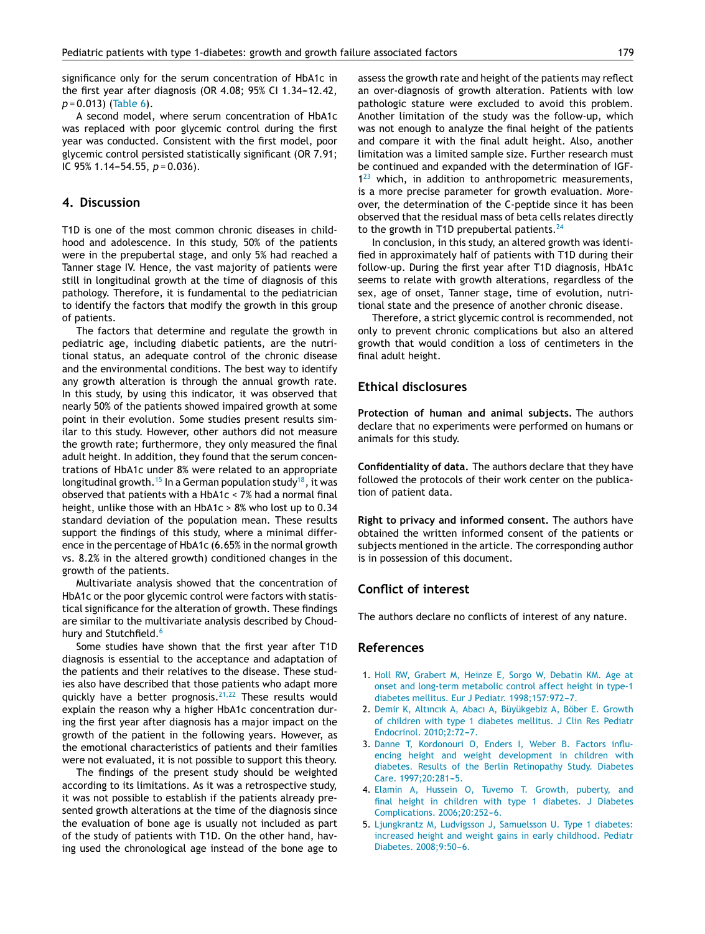<span id="page-5-0"></span>significance only for the serum concentration of HbA1c in the first year after diagnosis (OR  $4.08$ ;  $95%$  CI  $1.34-12.42$ , *p* = 0.013) ([Table](#page-4-0) 6).

A second model, where serum concentration of HbA1c was replaced with poor glycemic control during the first year was conducted. Consistent with the first model, poor glycemic control persisted statistically significant (OR 7.91; IC 95% 1.14-54.55, *p* = 0.036).

## **4. Discussion**

T1D is one of the most common chronic diseases in childhood and adolescence. In this study, 50% of the patients were in the prepubertal stage, and only 5% had reached a Tanner stage IV. Hence, the vast majority of patients were still in longitudinal growth at the time of diagnosis of this pathology. Therefore, it is fundamental to the pediatrician to identify the factors that modify the growth in this group of patients.

The factors that determine and regulate the growth in pediatric age, including diabetic patients, are the nutritional status, an adequate control of the chronic disease and the environmental conditions. The best way to identify any growth alteration is through the annual growth rate. In this study, by using this indicator, it was observed that nearly 50% of the patients showed impaired growth at some point in their evolution. Some studies present results similar to this study. However, other authors did not measure the growth rate; furthermore, they only measured the final adult height. In addition, they found that the serum concentrations of HbA1c under 8% were related to an appropriate longitudinal growth. <sup>[15](#page-6-0)</sup> In a German population study<sup>[18](#page-6-0)</sup>, it was observed that patients with a HbA1c < 7% had a normal final height, unlike those with an HbA1c > 8% who lost up to 0.34 standard deviation of the population mean. These results support the findings of this study, where a minimal difference in the percentage of HbA1c (6.65% in the normal growth vs. 8.2% in the altered growth) conditioned changes in the growth of the patients.

Multivariate analysis showed that the concentration of HbA1c or the poor glycemic control were factors with statistical significance for the alteration of growth. These findings are similar to the multivariate analysis described by Choud-hury and Stutchfield.<sup>[6](#page-6-0)</sup>

Some studies have shown that the first year after T1D diagnosis is essential to the acceptance and adaptation of the patients and their relatives to the disease. These studies also have described that those patients who adapt more quickly have a better prognosis.<sup>[21,22](#page-6-0)</sup> These results would explain the reason why a higher HbA1c concentration during the first year after diagnosis has a major impact on the growth of the patient in the following years. However, as the emotional characteristics of patients and their families were not evaluated, it is not possible to support this theory.

The findings of the present study should be weighted according to its limitations. As it was a retrospective study, it was not possible to establish if the patients already presented growth alterations at the time of the diagnosis since the evaluation of bone age is usually not included as part of the study of patients with T1D. On the other hand, having used the chronological age instead of the bone age to assess the growth rate and height of the patients may reflect an over-diagnosis of growth alteration. Patients with low pathologic stature were excluded to avoid this problem. Another limitation of the study was the follow-up, which was not enough to analyze the final height of the patients and compare it with the final adult height. Also, another limitation was a limited sample size. Further research must be continued and expanded with the determination of IGF- $1^{23}$  $1^{23}$  $1^{23}$  which, in addition to anthropometric measurements, is a more precise parameter for growth evaluation. Moreover, the determination of the C-peptide since it has been observed that the residual mass of beta cells relates directly to the growth in T1D prepubertal patients. $^{24}$  $^{24}$  $^{24}$ 

In conclusion, in this study, an altered growth was identified in approximately half of patients with T1D during their follow-up. During the first year after T1D diagnosis, HbA1c seems to relate with growth alterations, regardless of the sex, age of onset, Tanner stage, time of evolution, nutritional state and the presence of another chronic disease.

Therefore, a strict glycemic control is recommended, not only to prevent chronic complications but also an altered growth that would condition a loss of centimeters in the final adult height.

## **Ethical disclosures**

**Protection of human and animal subjects.** The authors declare that no experiments were performed on humans or animals for this study.

**Confidentiality of data.** The authors declare that they have followed the protocols of their work center on the publication of patient data.

**Right to privacy and informed consent.** The authors have obtained the written informed consent of the patients or subjects mentioned in the article. The corresponding author is in possession of this document.

#### **Conflict of interest**

The authors declare no conflicts of interest of any nature.

# **References**

- 1. [Holl](http://refhub.elsevier.com/S2444-3409(17)00003-6/sbref0125) [RW,](http://refhub.elsevier.com/S2444-3409(17)00003-6/sbref0125) [Grabert](http://refhub.elsevier.com/S2444-3409(17)00003-6/sbref0125) [M,](http://refhub.elsevier.com/S2444-3409(17)00003-6/sbref0125) [Heinze](http://refhub.elsevier.com/S2444-3409(17)00003-6/sbref0125) [E,](http://refhub.elsevier.com/S2444-3409(17)00003-6/sbref0125) [Sorgo](http://refhub.elsevier.com/S2444-3409(17)00003-6/sbref0125) [W,](http://refhub.elsevier.com/S2444-3409(17)00003-6/sbref0125) [Debatin](http://refhub.elsevier.com/S2444-3409(17)00003-6/sbref0125) [KM.](http://refhub.elsevier.com/S2444-3409(17)00003-6/sbref0125) [Age](http://refhub.elsevier.com/S2444-3409(17)00003-6/sbref0125) [at](http://refhub.elsevier.com/S2444-3409(17)00003-6/sbref0125) [onset](http://refhub.elsevier.com/S2444-3409(17)00003-6/sbref0125) [and](http://refhub.elsevier.com/S2444-3409(17)00003-6/sbref0125) [long-term](http://refhub.elsevier.com/S2444-3409(17)00003-6/sbref0125) [metabolic](http://refhub.elsevier.com/S2444-3409(17)00003-6/sbref0125) [control](http://refhub.elsevier.com/S2444-3409(17)00003-6/sbref0125) [affect](http://refhub.elsevier.com/S2444-3409(17)00003-6/sbref0125) [height](http://refhub.elsevier.com/S2444-3409(17)00003-6/sbref0125) [in](http://refhub.elsevier.com/S2444-3409(17)00003-6/sbref0125) [type-1](http://refhub.elsevier.com/S2444-3409(17)00003-6/sbref0125) [diabetes](http://refhub.elsevier.com/S2444-3409(17)00003-6/sbref0125) [mellitus.](http://refhub.elsevier.com/S2444-3409(17)00003-6/sbref0125) [Eur](http://refhub.elsevier.com/S2444-3409(17)00003-6/sbref0125) [J](http://refhub.elsevier.com/S2444-3409(17)00003-6/sbref0125) [Pediatr.](http://refhub.elsevier.com/S2444-3409(17)00003-6/sbref0125) 1998;157:972-7.
- 2. [Demir](http://refhub.elsevier.com/S2444-3409(17)00003-6/sbref0130) [K,](http://refhub.elsevier.com/S2444-3409(17)00003-6/sbref0130) [Altıncık](http://refhub.elsevier.com/S2444-3409(17)00003-6/sbref0130) [A,](http://refhub.elsevier.com/S2444-3409(17)00003-6/sbref0130) [Abacı](http://refhub.elsevier.com/S2444-3409(17)00003-6/sbref0130) [A,](http://refhub.elsevier.com/S2444-3409(17)00003-6/sbref0130) [Büyükgebiz](http://refhub.elsevier.com/S2444-3409(17)00003-6/sbref0130) [A,](http://refhub.elsevier.com/S2444-3409(17)00003-6/sbref0130) [Böber](http://refhub.elsevier.com/S2444-3409(17)00003-6/sbref0130) [E.](http://refhub.elsevier.com/S2444-3409(17)00003-6/sbref0130) [Growth](http://refhub.elsevier.com/S2444-3409(17)00003-6/sbref0130) [of](http://refhub.elsevier.com/S2444-3409(17)00003-6/sbref0130) [children](http://refhub.elsevier.com/S2444-3409(17)00003-6/sbref0130) [with](http://refhub.elsevier.com/S2444-3409(17)00003-6/sbref0130) [type](http://refhub.elsevier.com/S2444-3409(17)00003-6/sbref0130) [1](http://refhub.elsevier.com/S2444-3409(17)00003-6/sbref0130) [diabetes](http://refhub.elsevier.com/S2444-3409(17)00003-6/sbref0130) [mellitus.](http://refhub.elsevier.com/S2444-3409(17)00003-6/sbref0130) [J](http://refhub.elsevier.com/S2444-3409(17)00003-6/sbref0130) [Clin](http://refhub.elsevier.com/S2444-3409(17)00003-6/sbref0130) [Res](http://refhub.elsevier.com/S2444-3409(17)00003-6/sbref0130) [Pediatr](http://refhub.elsevier.com/S2444-3409(17)00003-6/sbref0130) [Endocrinol.](http://refhub.elsevier.com/S2444-3409(17)00003-6/sbref0130) 2010:2:72-[7.](http://refhub.elsevier.com/S2444-3409(17)00003-6/sbref0130)
- 3. [Danne](http://refhub.elsevier.com/S2444-3409(17)00003-6/sbref0135) [T,](http://refhub.elsevier.com/S2444-3409(17)00003-6/sbref0135) [Kordonouri](http://refhub.elsevier.com/S2444-3409(17)00003-6/sbref0135) [O,](http://refhub.elsevier.com/S2444-3409(17)00003-6/sbref0135) [Enders](http://refhub.elsevier.com/S2444-3409(17)00003-6/sbref0135) [I,](http://refhub.elsevier.com/S2444-3409(17)00003-6/sbref0135) [Weber](http://refhub.elsevier.com/S2444-3409(17)00003-6/sbref0135) [B.](http://refhub.elsevier.com/S2444-3409(17)00003-6/sbref0135) [Factors](http://refhub.elsevier.com/S2444-3409(17)00003-6/sbref0135) [influ](http://refhub.elsevier.com/S2444-3409(17)00003-6/sbref0135)[encing](http://refhub.elsevier.com/S2444-3409(17)00003-6/sbref0135) [height](http://refhub.elsevier.com/S2444-3409(17)00003-6/sbref0135) [and](http://refhub.elsevier.com/S2444-3409(17)00003-6/sbref0135) [weight](http://refhub.elsevier.com/S2444-3409(17)00003-6/sbref0135) [development](http://refhub.elsevier.com/S2444-3409(17)00003-6/sbref0135) [in](http://refhub.elsevier.com/S2444-3409(17)00003-6/sbref0135) [children](http://refhub.elsevier.com/S2444-3409(17)00003-6/sbref0135) [with](http://refhub.elsevier.com/S2444-3409(17)00003-6/sbref0135) [diabetes.](http://refhub.elsevier.com/S2444-3409(17)00003-6/sbref0135) [Results](http://refhub.elsevier.com/S2444-3409(17)00003-6/sbref0135) [of](http://refhub.elsevier.com/S2444-3409(17)00003-6/sbref0135) [the](http://refhub.elsevier.com/S2444-3409(17)00003-6/sbref0135) [Berlin](http://refhub.elsevier.com/S2444-3409(17)00003-6/sbref0135) [Retinopathy](http://refhub.elsevier.com/S2444-3409(17)00003-6/sbref0135) [Study.](http://refhub.elsevier.com/S2444-3409(17)00003-6/sbref0135) [Diabetes](http://refhub.elsevier.com/S2444-3409(17)00003-6/sbref0135) [Care.](http://refhub.elsevier.com/S2444-3409(17)00003-6/sbref0135) [1997;20:281](http://refhub.elsevier.com/S2444-3409(17)00003-6/sbref0135)-[5.](http://refhub.elsevier.com/S2444-3409(17)00003-6/sbref0135)
- 4. [Elamin](http://refhub.elsevier.com/S2444-3409(17)00003-6/sbref0140) [A,](http://refhub.elsevier.com/S2444-3409(17)00003-6/sbref0140) [Hussein](http://refhub.elsevier.com/S2444-3409(17)00003-6/sbref0140) [O,](http://refhub.elsevier.com/S2444-3409(17)00003-6/sbref0140) [Tuvemo](http://refhub.elsevier.com/S2444-3409(17)00003-6/sbref0140) [T.](http://refhub.elsevier.com/S2444-3409(17)00003-6/sbref0140) [Growth,](http://refhub.elsevier.com/S2444-3409(17)00003-6/sbref0140) [puberty,](http://refhub.elsevier.com/S2444-3409(17)00003-6/sbref0140) [and](http://refhub.elsevier.com/S2444-3409(17)00003-6/sbref0140) [final](http://refhub.elsevier.com/S2444-3409(17)00003-6/sbref0140) [height](http://refhub.elsevier.com/S2444-3409(17)00003-6/sbref0140) [in](http://refhub.elsevier.com/S2444-3409(17)00003-6/sbref0140) [children](http://refhub.elsevier.com/S2444-3409(17)00003-6/sbref0140) [with](http://refhub.elsevier.com/S2444-3409(17)00003-6/sbref0140) [type](http://refhub.elsevier.com/S2444-3409(17)00003-6/sbref0140) [1](http://refhub.elsevier.com/S2444-3409(17)00003-6/sbref0140) [diabetes.](http://refhub.elsevier.com/S2444-3409(17)00003-6/sbref0140) [J](http://refhub.elsevier.com/S2444-3409(17)00003-6/sbref0140) [Diabetes](http://refhub.elsevier.com/S2444-3409(17)00003-6/sbref0140) [Complications.](http://refhub.elsevier.com/S2444-3409(17)00003-6/sbref0140) [2006;20:252](http://refhub.elsevier.com/S2444-3409(17)00003-6/sbref0140)-[6.](http://refhub.elsevier.com/S2444-3409(17)00003-6/sbref0140)
- 5. [Ljungkrantz](http://refhub.elsevier.com/S2444-3409(17)00003-6/sbref0145) [M,](http://refhub.elsevier.com/S2444-3409(17)00003-6/sbref0145) [Ludvigsson](http://refhub.elsevier.com/S2444-3409(17)00003-6/sbref0145) [J,](http://refhub.elsevier.com/S2444-3409(17)00003-6/sbref0145) [Samuelsson](http://refhub.elsevier.com/S2444-3409(17)00003-6/sbref0145) [U.](http://refhub.elsevier.com/S2444-3409(17)00003-6/sbref0145) [Type](http://refhub.elsevier.com/S2444-3409(17)00003-6/sbref0145) [1](http://refhub.elsevier.com/S2444-3409(17)00003-6/sbref0145) [diabetes:](http://refhub.elsevier.com/S2444-3409(17)00003-6/sbref0145) [increased](http://refhub.elsevier.com/S2444-3409(17)00003-6/sbref0145) [height](http://refhub.elsevier.com/S2444-3409(17)00003-6/sbref0145) [and](http://refhub.elsevier.com/S2444-3409(17)00003-6/sbref0145) [weight](http://refhub.elsevier.com/S2444-3409(17)00003-6/sbref0145) [gains](http://refhub.elsevier.com/S2444-3409(17)00003-6/sbref0145) [in](http://refhub.elsevier.com/S2444-3409(17)00003-6/sbref0145) [early](http://refhub.elsevier.com/S2444-3409(17)00003-6/sbref0145) [childhood.](http://refhub.elsevier.com/S2444-3409(17)00003-6/sbref0145) [Pediatr](http://refhub.elsevier.com/S2444-3409(17)00003-6/sbref0145) [Diabetes.](http://refhub.elsevier.com/S2444-3409(17)00003-6/sbref0145) 2008;9:50-6.